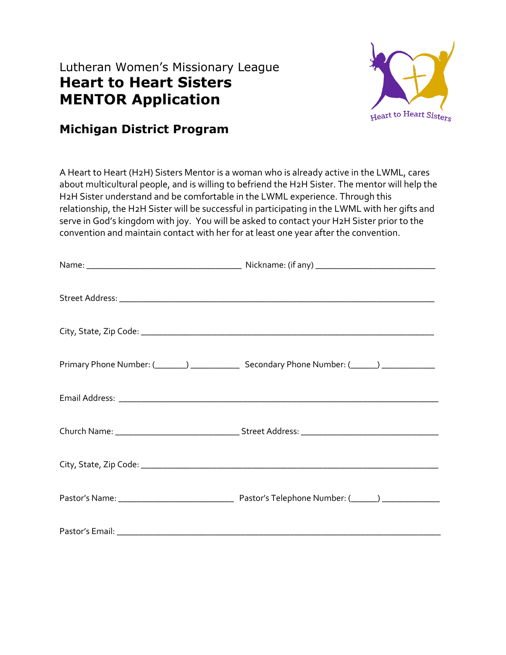## Lutheran Women's Missionary League **Heart to Heart Sisters MENTOR Application**



## **Michigan District Program**

A Heart to Heart (H2H) Sisters Mentor is a woman who is already active in the LWML, cares about multicultural people, and is willing to befriend the H2H Sister. The mentor will help the H2H Sister understand and be comfortable in the LWML experience. Through this relationship, the H2H Sister will be successful in participating in the LWML with her gifts and serve in God's kingdom with joy. You will be asked to contact your H2H Sister prior to the convention and maintain contact with her for at least one year after the convention.

| Primary Phone Number: (1, 2002) 2012 Secondary Phone Number: (2004) 2022 2024 |
|-------------------------------------------------------------------------------|
|                                                                               |
|                                                                               |
|                                                                               |
|                                                                               |
|                                                                               |